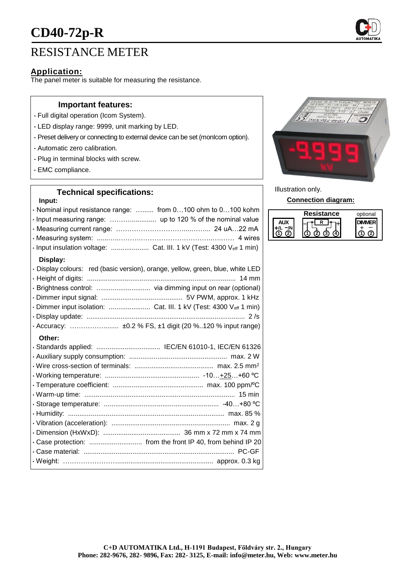

# **Application:**

The panel meter is suitable for measuring the resistance.

#### **Important features:**

- Full digital operation (Icom System).
- LED display range: 9999, unit marking by LED.
- Preset delivery or connecting to external device can be set (monIcom option).
- Automatic zero calibration.
- Plug in terminal blocks with screw.
- EMC compliance.

# **Technical specifications:**

#### **Input:**

| · Nominal input resistance range:  from 0100 ohm to 0100 kohm<br>· Input insulation voltage:  Cat. III. 1 kV (Test: 4300 Veff 1 min) |
|--------------------------------------------------------------------------------------------------------------------------------------|
| Display:                                                                                                                             |
| · Display colours: red (basic version), orange, yellow, green, blue, white LED                                                       |
|                                                                                                                                      |
|                                                                                                                                      |
|                                                                                                                                      |
|                                                                                                                                      |
| · Accuracy:  ±0.2 % FS, ±1 digit (20 %120 % input range)                                                                             |
| Other:                                                                                                                               |
|                                                                                                                                      |
|                                                                                                                                      |
|                                                                                                                                      |
|                                                                                                                                      |
|                                                                                                                                      |
|                                                                                                                                      |
|                                                                                                                                      |
|                                                                                                                                      |
|                                                                                                                                      |
|                                                                                                                                      |
|                                                                                                                                      |
|                                                                                                                                      |
|                                                                                                                                      |



Illustration only.

# **Connection diagram:**

| <b>kesistance</b> | optional |
|-------------------|----------|
|                   |          |